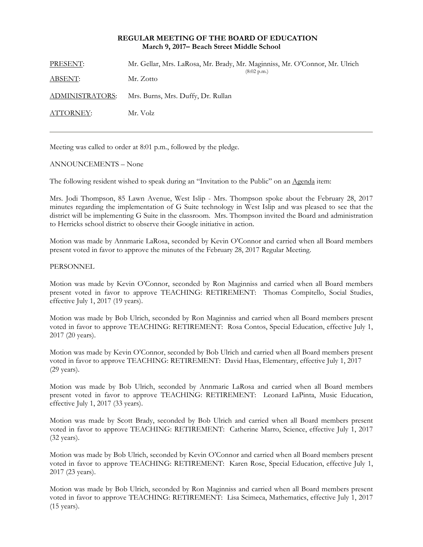# **REGULAR MEETING OF THE BOARD OF EDUCATION March 9, 2017– Beach Street Middle School**

| PRESENT:        | Mr. Gellar, Mrs. LaRosa, Mr. Brady, Mr. Maginniss, Mr. O'Connor, Mr. Ulrich<br>$(8:02 \text{ p.m.})$ |
|-----------------|------------------------------------------------------------------------------------------------------|
| <b>ABSENT:</b>  | Mr. Zotto                                                                                            |
| ADMINISTRATORS: | Mrs. Burns, Mrs. Duffy, Dr. Rullan                                                                   |
| ATTORNEY:       | Mr. Volz                                                                                             |
|                 |                                                                                                      |

Meeting was called to order at 8:01 p.m., followed by the pledge.

## ANNOUNCEMENTS – None

The following resident wished to speak during an "Invitation to the Public" on an Agenda item:

Mrs. Jodi Thompson, 85 Lawn Avenue, West Islip - Mrs. Thompson spoke about the February 28, 2017 minutes regarding the implementation of G Suite technology in West Islip and was pleased to see that the district will be implementing G Suite in the classroom. Mrs. Thompson invited the Board and administration to Herricks school district to observe their Google initiative in action.

Motion was made by Annmarie LaRosa, seconded by Kevin O'Connor and carried when all Board members present voted in favor to approve the minutes of the February 28, 2017 Regular Meeting.

## PERSONNEL

Motion was made by Kevin O'Connor, seconded by Ron Maginniss and carried when all Board members present voted in favor to approve TEACHING: RETIREMENT: Thomas Compitello, Social Studies, effective July 1, 2017 (19 years).

Motion was made by Bob Ulrich, seconded by Ron Maginniss and carried when all Board members present voted in favor to approve TEACHING: RETIREMENT: Rosa Contos, Special Education, effective July 1, 2017 (20 years).

Motion was made by Kevin O'Connor, seconded by Bob Ulrich and carried when all Board members present voted in favor to approve TEACHING: RETIREMENT: David Haas, Elementary, effective July 1, 2017 (29 years).

Motion was made by Bob Ulrich, seconded by Annmarie LaRosa and carried when all Board members present voted in favor to approve TEACHING: RETIREMENT: Leonard LaPinta, Music Education, effective July 1, 2017 (33 years).

Motion was made by Scott Brady, seconded by Bob Ulrich and carried when all Board members present voted in favor to approve TEACHING: RETIREMENT: Catherine Marro, Science, effective July 1, 2017 (32 years).

Motion was made by Bob Ulrich, seconded by Kevin O'Connor and carried when all Board members present voted in favor to approve TEACHING: RETIREMENT: Karen Rose, Special Education, effective July 1, 2017 (23 years).

Motion was made by Bob Ulrich, seconded by Ron Maginniss and carried when all Board members present voted in favor to approve TEACHING: RETIREMENT: Lisa Scimeca, Mathematics, effective July 1, 2017 (15 years).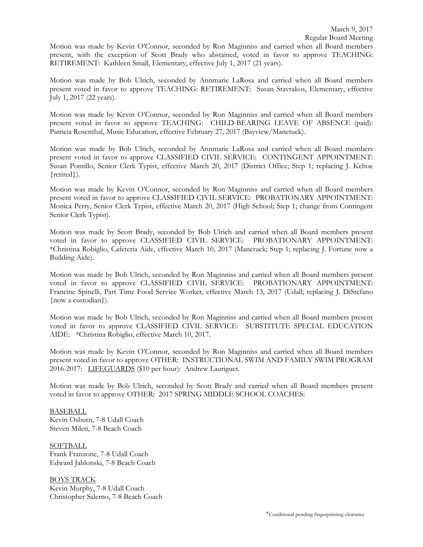Motion was made by Kevin O'Connor, seconded by Ron Maginniss and carried when all Board members present, with the exception of Scott Brady who abstained, voted in favor to approve TEACHING: RETIREMENT: Kathleen Small, Elementary, effective July 1, 2017 (21 years).

Motion was made by Bob Ulrich, seconded by Annmarie LaRosa and carried when all Board members present voted in favor to approve TEACHING: RETIREMENT: Susan Stavrakos, Elementary, effective July 1, 2017 (22 years).

Motion was made by Kevin O'Connor, seconded by Ron Maginniss and carried when all Board members present voted in favor to approve TEACHING: CHILD-BEARING LEAVE OF ABSENCE (paid): Patricia Rosenthal, Music Education, effective February 27, 2017 (Bayview/Manetuck).

Motion was made by Bob Ulrich, seconded by Annmarie LaRosa and carried when all Board members present voted in favor to approve CLASSIFIED CIVIL SERVICE: CONTINGENT APPOINTMENT: Susan Pontillo, Senior Clerk Typist, effective March 20, 2017 (District Office; Step 1; replacing J. Kehoe {retired}).

Motion was made by Kevin O'Connor, seconded by Ron Maginniss and carried when all Board members present voted in favor to approve CLASSIFIED CIVIL SERVICE: PROBATIONARY APPOINTMENT: Monica Perry, Senior Clerk Typist, effective March 20, 2017 (High School; Step 1; change from Contingent Senior Clerk Typist).

Motion was made by Scott Brady, seconded by Bob Ulrich and carried when all Board members present voted in favor to approve CLASSIFIED CIVIL SERVICE: PROBATIONARY APPOINTMENT: \*Christina Robiglio, Cafeteria Aide, effective March 10, 2017 (Manetuck; Step 1; replacing J. Fortune now a Building Aide).

Motion was made by Bob Ulrich, seconded by Ron Maginniss and carried when all Board members present voted in favor to approve CLASSIFIED CIVIL SERVICE: PROBATIONARY APPOINTMENT: Francine Spinelli, Part Time Food Service Worker, effective March 13, 2017 (Udall; replacing J. DiStefano {now a custodian}).

Motion was made by Bob Ulrich, seconded by Ron Maginniss and carried when all Board members present voted in favor to approve CLASSIFIED CIVIL SERVICE: SUBSTITUTE SPECIAL EDUCATION AIDE: \*Christina Robiglio, effective March 10, 2017.

Motion was made by Kevin O'Connor, seconded by Ron Maginniss and carried when all Board members present voted in favor to approve OTHER: INSTRUCTIONAL SWIM AND FAMILY SWIM PROGRAM 2016-2017: LIFEGUARDS (\$10 per hour): Andrew Lauriguet.

Motion was made by Bob Ulrich, seconded by Scott Brady and carried when all Board members present voted in favor to approve OTHER: 2017 SPRING MIDDLE SCHOOL COACHES:

BASEBALL Kevin Osburn, 7-8 Udall Coach Steven Mileti, 7-8 Beach Coach

**SOFTBALL** Frank Franzone, 7-8 Udall Coach Edward Jablonski, 7-8 Beach Coach

BOYS TRACK Kevin Murphy, 7-8 Udall Coach Christopher Salerno, 7-8 Beach Coach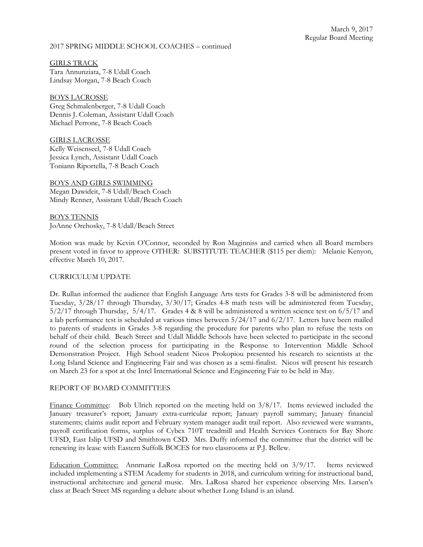## 2017 SPRING MIDDLE SCHOOL COACHES – continued

GIRLS TRACK Tara Annunziata, 7-8 Udall Coach Lindsay Morgan, 7-8 Beach Coach

BOYS LACROSSE Greg Schmalenberger, 7-8 Udall Coach Dennis J. Coleman, Assistant Udall Coach Michael Perrone, 7-8 Beach Coach

GIRLS LACROSSE Kelly Weisenseel, 7-8 Udall Coach Jessica Lynch, Assistant Udall Coach Toniann Riportella, 7-8 Beach Coach

BOYS AND GIRLS SWIMMING Megan Dawideit, 7-8 Udall/Beach Coach Mindy Renner, Assistant Udall/Beach Coach

BOYS TENNIS JoAnne Orehosky, 7-8 Udall/Beach Street

Motion was made by Kevin O'Connor, seconded by Ron Maginniss and carried when all Board members present voted in favor to approve OTHER: SUBSTITUTE TEACHER (\$115 per diem): Melanie Kenyon, effective March 10, 2017.

#### CURRICULUM UPDATE

Dr. Rullan informed the audience that English Language Arts tests for Grades 3-8 will be administered from Tuesday, 3/28/17 through Thursday, 3/30/17; Grades 4-8 math tests will be administered from Tuesday,  $5/2/17$  through Thursday,  $5/4/17$ . Grades 4 & 8 will be administered a written science test on  $6/5/17$  and a lab performance test is scheduled at various times between 5/24/17 and 6/2/17. Letters have been mailed to parents of students in Grades 3-8 regarding the procedure for parents who plan to refuse the tests on behalf of their child. Beach Street and Udall Middle Schools have been selected to participate in the second round of the selection process for participating in the Response to Intervention Middle School Demonstration Project. High School student Nicos Prokopiou presented his research to scientists at the Long Island Science and Engineering Fair and was chosen as a semi-finalist. Nicos will present his research on March 23 for a spot at the Intel International Science and Engineering Fair to be held in May.

## REPORT OF BOARD COMMITTEES

Finance Committee: Bob Ulrich reported on the meeting held on 3/8/17. Items reviewed included the January treasurer's report; January extra-curricular report; January payroll summary; January financial statements; claims audit report and February system manager audit trail report. Also reviewed were warrants, payroll certification forms, surplus of Cybex 710T treadmill and Health Services Contracts for Bay Shore UFSD, East Islip UFSD and Smithtown CSD. Mrs. Duffy informed the committee that the district will be renewing its lease with Eastern Suffolk BOCES for two classrooms at P.J. Bellew.

Education Committee: Annmarie LaRosa reported on the meeting held on 3/9/17. Items reviewed included implementing a STEM Academy for students in 2018, and curriculum writing for instructional band, instructional architecture and general music. Mrs. LaRosa shared her experience observing Mrs. Larsen's class at Beach Street MS regarding a debate about whether Long Island is an island.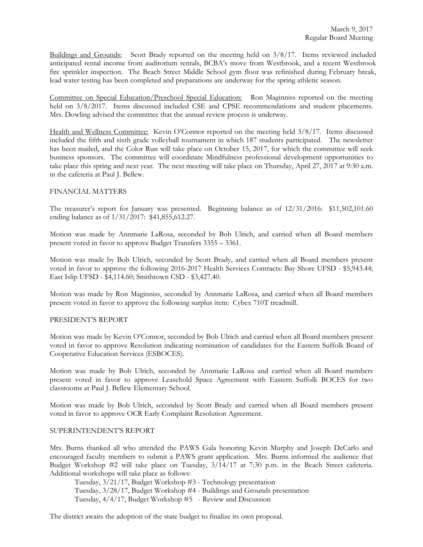Buildings and Grounds: Scott Brady reported on the meeting held on 3/8/17. Items reviewed included anticipated rental income from auditorium rentals, BCBA's move from Westbrook, and a recent Westbrook fire sprinkler inspection. The Beach Street Middle School gym floor was refinished during February break, lead water testing has been completed and preparations are underway for the spring athletic season.

Committee on Special Education/Preschool Special Education: Ron Maginniss reported on the meeting held on 3/8/2017. Items discussed included CSE and CPSE recommendations and student placements. Mrs. Dowling advised the committee that the annual review process is underway.

Health and Wellness Committee: Kevin O'Connor reported on the meeting held  $3/8/17$ . Items discussed included the fifth and sixth grade volleyball tournament in which 187 students participated. The newsletter has been mailed, and the Color Run will take place on October 15, 2017, for which the committee will seek business sponsors. The committee will coordinate Mindfulness professional development opportunities to take place this spring and next year. The next meeting will take place on Thursday, April 27, 2017 at 9:30 a.m. in the cafeteria at Paul J. Bellew.

## FINANCIAL MATTERS

The treasurer's report for January was presented. Beginning balance as of 12/31/2016: \$11,502,101.60 ending balance as of 1/31/2017: \$41,855,612.27.

Motion was made by Annmarie LaRosa, seconded by Bob Ulrich, and carried when all Board members present voted in favor to approve Budget Transfers 3355 – 3361.

Motion was made by Bob Ulrich, seconded by Scott Brady, and carried when all Board members present voted in favor to approve the following 2016-2017 Health Services Contracts: Bay Shore UFSD - \$5,943.44; East Islip UFSD - \$4,114.60; Smithtown CSD - \$3,427.40.

Motion was made by Ron Maginniss, seconded by Annmarie LaRosa, and carried when all Board members present voted in favor to approve the following surplus item: Cybex 710T treadmill.

## PRESIDENT'S REPORT

Motion was made by Kevin O'Connor, seconded by Bob Ulrich and carried when all Board members present voted in favor to approve Resolution indicating nomination of candidates for the Eastern Suffolk Board of Cooperative Education Services (ESBOCES).

Motion was made by Bob Ulrich, seconded by Annmarie LaRosa and carried when all Board members present voted in favor to approve Leasehold Space Agreement with Eastern Suffolk BOCES for two classrooms at Paul J. Bellew Elementary School.

Motion was made by Bob Ulrich, seconded by Scott Brady and carried when all Board members present voted in favor to approve OCR Early Complaint Resolution Agreement.

## SUPERINTENDENT'S REPORT

Mrs. Burns thanked all who attended the PAWS Gala honoring Kevin Murphy and Joseph DeCarlo and encouraged faculty members to submit a PAWS grant application. Mrs. Burns informed the audience that Budget Workshop #2 will take place on Tuesday, 3/14/17 at 7:30 p.m. in the Beach Street cafeteria. Additional workshops will take place as follows:

Tuesday, 3/21/17, Budget Workshop #3 - Technology presentation Tuesday, 3/28/17, Budget Workshop #4 - Buildings and Grounds presentation Tuesday, 4/4/17, Budget Workshop #5 - Review and Discussion

The district awaits the adoption of the state budget to finalize its own proposal.